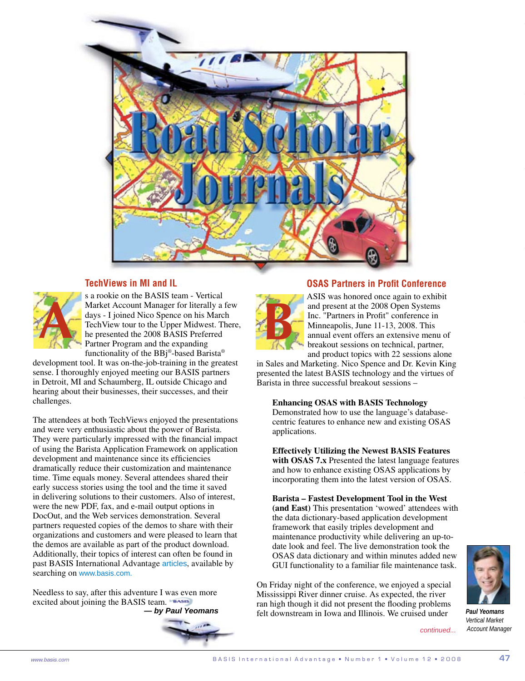

## **TechViews in MI and IL**



s a rookie on the BASIS team - Vertical Market Account Manager for literally a few days - I joined Nico Spence on his March TechView tour to the Upper Midwest. There, he presented the 2008 BASIS Preferred Partner Program and the expanding functionality of the BBj®-based Barista®

development tool. It was on-the-job-training in the greatest sense. I thoroughly enjoyed meeting our BASIS partners in Detroit, MI and Schaumberg, IL outside Chicago and hearing about their businesses, their successes, and their challenges.

The attendees at both TechViews enjoyed the presentations and were very enthusiastic about the power of Barista. They were particularly impressed with the financial impact of using the Barista Application Framework on application development and maintenance since its efficiencies dramatically reduce their customization and maintenance time. Time equals money. Several attendees shared their early success stories using the tool and the time it saved in delivering solutions to their customers. Also of interest, were the new PDF, fax, and e-mail output options in DocOut, and the Web services demonstration. Several partners requested copies of the demos to share with their organizations and customers and were pleased to learn that the demos are available as part of the product download. Additionally, their topics of interest can often be found in past BASIS International Advantage [articles](http://www.basis.com/advantage/articleindex.html), available by searching on [www.basis.com.](http://www.basis.com/)

Needless to say, after this adventure I was even more excited about joining the BASIS team.  *— by Paul Yeomans*



## **OSAS Partners in Profit Conference**



ASIS was honored once again to exhibit and present at the 2008 Open Systems Inc. "Partners in Profit" conference in Minneapolis, June 11-13, 2008. This annual event offers an extensive menu of breakout sessions on technical, partner, and product topics with 22 sessions alone

in Sales and Marketing. Nico Spence and Dr. Kevin King presented the latest BASIS technology and the virtues of Barista in three successful breakout sessions –

**Enhancing OSAS with BASIS Technology**  Demonstrated how to use the language's databasecentric features to enhance new and existing OSAS applications.

**Effectively Utilizing the Newest BASIS Features with OSAS 7.x** Presented the latest language features and how to enhance existing OSAS applications by incorporating them into the latest version of OSAS.

**Barista – Fastest Development Tool in the West (and East)** This presentation 'wowed' attendees with the data dictionary-based application development framework that easily triples development and maintenance productivity while delivering an up-todate look and feel. The live demonstration took the OSAS data dictionary and within minutes added new GUI functionality to a familiar file maintenance task.

On Friday night of the conference, we enjoyed a special Mississippi River dinner cruise. As expected, the river ran high though it did not present the flooding problems felt downstream in Iowa and Illinois. We cruised under

*continued...*

*Paul Yeomans Vertical Market Account Manager*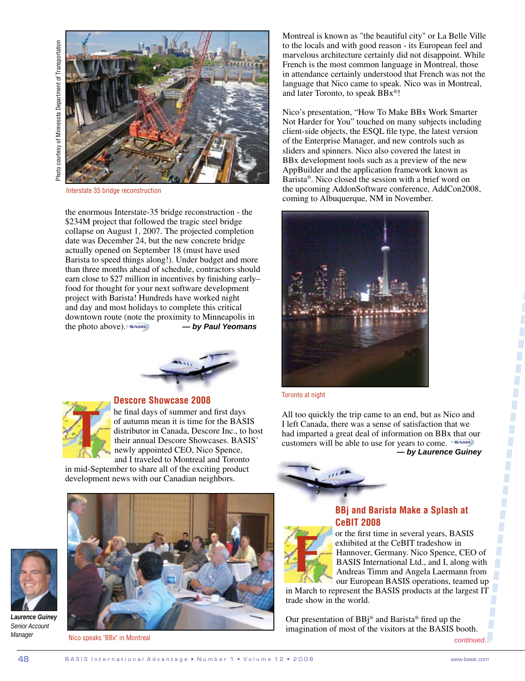

Interstate 35 bridge reconstruction

the enormous Interstate-35 bridge reconstruction - the \$234M project that followed the tragic steel bridge collapse on August 1, 2007. The projected completion date was December 24, but the new concrete bridge actually opened on September 18 (must have used Barista to speed things along!). Under budget and more than three months ahead of schedule, contractors should earn close to \$27 million in incentives by finishing early– food for thought for your next software development project with Barista! Hundreds have worked night and day and most holidays to complete this critical downtown route (note the proximity to Minneapolis in the photo above). *— by Paul Yeomans*





## **Descore Showcase 2008**

he final days of summer and first days of autumn mean it is time for the BASIS distributor in Canada, Descore Inc., to host their annual Descore Showcases. BASIS' newly appointed CEO, Nico Spence, and I traveled to Montreal and Toronto

in mid-September to share all of the exciting product development news with our Canadian neighbors.



*Laurence Guiney Senior Account Manager*



Nico speaks "BBx" in Montreal

Montreal is known as "the beautiful city" or La Belle Ville to the locals and with good reason - its European feel and marvelous architecture certainly did not disappoint. While French is the most common language in Montreal, those in attendance certainly understood that French was not the language that Nico came to speak. Nico was in Montreal, and later Toronto, to speak BBx®!

Nico's presentation, "How To Make BBx Work Smarter Not Harder for You" touched on many subjects including client-side objects, the ESQL file type, the latest version of the Enterprise Manager, and new controls such as sliders and spinners. Nico also covered the latest in BBx development tools such as a preview of the new AppBuilder and the application framework known as Barista®. Nico closed the session with a brief word on the upcoming AddonSoftware conference, AddCon2008, coming to Albuquerque, NM in November.



Toronto at night

All too quickly the trip came to an end, but as Nico and I left Canada, there was a sense of satisfaction that we had imparted a great deal of information on BBx that our customers will be able to use for years to come.  *— by Laurence Guiney*



## **BBj and Barista Make a Splash at CeBIT 2008**

or the first time in several years, BASIS exhibited at the CeBIT tradeshow in Hannover, Germany. Nico Spence, CEO of BASIS International Ltd., and I, along with Andreas Timm and Angela Laermann from our European BASIS operations, teamed up

in March to represent the BASIS products at the largest IT trade show in the world. **F**

Our presentation of BBj® and Barista® fired up the imagination of most of the visitors at the BASIS booth. *continued...*

J O